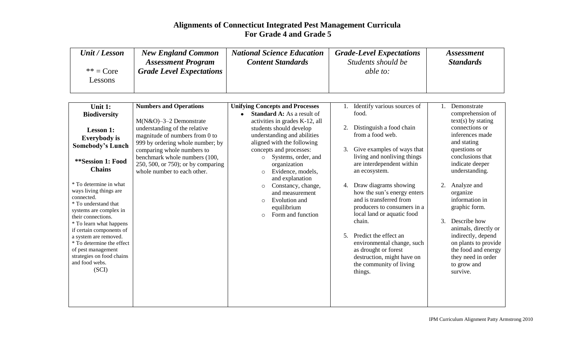| Unit / Lesson                | <b>New England Common</b>       | <b>National Science Education</b> | <b>Grade-Level Expectations</b> | <i>Assessment</i> |
|------------------------------|---------------------------------|-----------------------------------|---------------------------------|-------------------|
|                              | <b>Assessment Program</b>       | <b>Content Standards</b>          | Students should be              | <b>Standards</b>  |
| $** = Core$<br><i>essons</i> | <b>Grade Level Expectations</b> |                                   | <i>able to:</i>                 |                   |

| Unit 1:                                           | <b>Numbers and Operations</b>      | <b>Unifying Concepts and Processes</b>      |    | Identify various sources of                            |    | Demonstrate                |
|---------------------------------------------------|------------------------------------|---------------------------------------------|----|--------------------------------------------------------|----|----------------------------|
| <b>Biodiversity</b>                               |                                    | <b>Standard A:</b> As a result of           |    | food.                                                  |    | comprehension of           |
|                                                   | M(N&O)-3-2 Demonstrate             | activities in grades K-12, all              |    |                                                        |    | $text(s)$ by stating       |
| <b>Lesson 1:</b>                                  | understanding of the relative      | students should develop                     | 2. | Distinguish a food chain                               |    | connections or             |
| <b>Everybody</b> is                               | magnitude of numbers from 0 to     | understanding and abilities                 |    | from a food web.                                       |    | inferences made            |
| <b>Somebody's Lunch</b>                           | 999 by ordering whole number; by   | aligned with the following                  |    |                                                        |    | and stating                |
|                                                   | comparing whole numbers to         | concepts and processes:                     | 3. | Give examples of ways that                             |    | questions or               |
| **Session 1: Food                                 | benchmark whole numbers (100,      | Systems, order, and<br>$\circ$              |    | living and nonliving things                            |    | conclusions that           |
|                                                   | 250, 500, or 750); or by comparing | organization                                |    | are interdependent within                              |    | indicate deeper            |
| <b>Chains</b>                                     | whole number to each other.        | Evidence, models,<br>$\circ$                |    | an ecosystem.                                          |    | understanding.             |
| * To determine in what                            |                                    | and explanation                             |    |                                                        |    |                            |
| ways living things are                            |                                    | Constancy, change,<br>$\circ$               | 4. | Draw diagrams showing                                  | 2. | Analyze and                |
| connected.                                        |                                    | and measurement                             |    | how the sun's energy enters<br>and is transferred from |    | organize<br>information in |
| * To understand that                              |                                    | Evolution and<br>$\circ$                    |    | producers to consumers in a                            |    | graphic form.              |
| systems are complex in                            |                                    | equilibrium<br>Form and function<br>$\circ$ |    | local land or aquatic food                             |    |                            |
| their connections.                                |                                    |                                             |    | chain.                                                 | 3. | Describe how               |
| * To learn what happens                           |                                    |                                             |    |                                                        |    | animals, directly or       |
| if certain components of<br>a system are removed. |                                    |                                             | 5. | Predict the effect an                                  |    | indirectly, depend         |
| * To determine the effect                         |                                    |                                             |    | environmental change, such                             |    | on plants to provide       |
| of pest management                                |                                    |                                             |    | as drought or forest                                   |    | the food and energy        |
| strategies on food chains                         |                                    |                                             |    | destruction, might have on                             |    | they need in order         |
| and food webs.                                    |                                    |                                             |    | the community of living                                |    | to grow and                |
| (SCI)                                             |                                    |                                             |    | things.                                                |    | survive.                   |
|                                                   |                                    |                                             |    |                                                        |    |                            |
|                                                   |                                    |                                             |    |                                                        |    |                            |
|                                                   |                                    |                                             |    |                                                        |    |                            |
|                                                   |                                    |                                             |    |                                                        |    |                            |
|                                                   |                                    |                                             |    |                                                        |    |                            |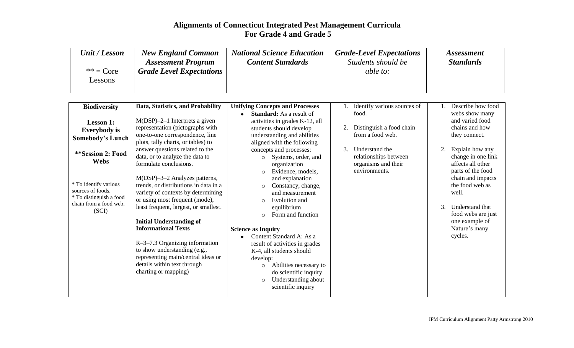| Unit / Lesson | <b>New England Common</b>       | <b>National Science Education</b> | <b>Grade-Level Expectations</b> | <i>Assessment</i> |
|---------------|---------------------------------|-----------------------------------|---------------------------------|-------------------|
|               | <b>Assessment Program</b>       | <b>Content Standards</b>          | Students should be              | <b>Standards</b>  |
| $** = Core$   | <b>Grade Level Expectations</b> |                                   | able to:                        |                   |
| Lessons       |                                 |                                   |                                 |                   |
|               |                                 |                                   |                                 |                   |

| <b>Biodiversity</b>     | Data, Statistics, and Probability                                 | <b>Unifying Concepts and Processes</b>       | Identify various sources of | Describe how food     |
|-------------------------|-------------------------------------------------------------------|----------------------------------------------|-----------------------------|-----------------------|
|                         |                                                                   | <b>Standard:</b> As a result of<br>$\bullet$ | food.                       | webs show many        |
| <b>Lesson 1:</b>        | $M(DSP)$ –2–1 Interprets a given                                  | activities in grades K-12, all               |                             | and varied food       |
| <b>Everybody</b> is     | representation (pictographs with                                  | students should develop                      | Distinguish a food chain    | chains and how        |
| <b>Somebody's Lunch</b> | one-to-one correspondence, line                                   | understanding and abilities                  | from a food web.            | they connect.         |
|                         | plots, tally charts, or tables) to                                | aligned with the following                   |                             |                       |
| **Session 2: Food       | answer questions related to the                                   | concepts and processes:                      | 3.<br>Understand the        | Explain how any<br>2. |
| <b>Webs</b>             | data, or to analyze the data to                                   | Systems, order, and<br>$\circ$               | relationships between       | change in one link    |
|                         | formulate conclusions.                                            | organization                                 | organisms and their         | affects all other     |
|                         |                                                                   | Evidence, models,<br>$\circ$                 | environments.               | parts of the food     |
| * To identify various   | M(DSP)-3-2 Analyzes patterns,                                     | and explanation                              |                             | chain and impacts     |
| sources of foods.       | trends, or distributions in data in a                             | Constancy, change,<br>$\circ$                |                             | the food web as       |
| * To distinguish a food | variety of contexts by determining                                | and measurement                              |                             | well.                 |
| chain from a food web.  | or using most frequent (mode),                                    | Evolution and<br>$\circ$                     |                             |                       |
| (SCI)                   | least frequent, largest, or smallest.                             | equilibrium                                  |                             | 3.<br>Understand that |
|                         |                                                                   | Form and function<br>$\circ$                 |                             | food webs are just    |
|                         | <b>Initial Understanding of</b>                                   |                                              |                             | one example of        |
|                         | <b>Informational Texts</b>                                        | <b>Science as Inquiry</b>                    |                             | Nature's many         |
|                         |                                                                   | Content Standard A: As a<br>$\bullet$        |                             | cycles.               |
|                         | $R$ –3–7.3 Organizing information                                 | result of activities in grades               |                             |                       |
|                         | to show understanding (e.g.,                                      | K-4, all students should                     |                             |                       |
|                         | representing main/central ideas or<br>details within text through | develop:                                     |                             |                       |
|                         |                                                                   | Abilities necessary to<br>$\circ$            |                             |                       |
|                         | charting or mapping)                                              | do scientific inquiry                        |                             |                       |
|                         |                                                                   | Understanding about<br>$\circ$               |                             |                       |
|                         |                                                                   | scientific inquiry                           |                             |                       |
|                         |                                                                   |                                              |                             |                       |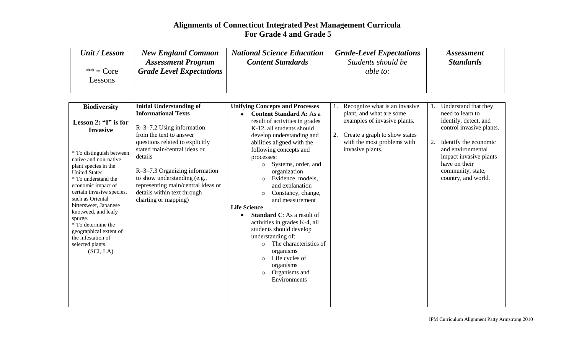| Unit / Lesson          | <b>New England Common</b>       | <b>National Science Education</b> | <b>Grade-Level Expectations</b> | <i>Assessment</i> |
|------------------------|---------------------------------|-----------------------------------|---------------------------------|-------------------|
|                        | <b>Assessment Program</b>       | <b>Content Standards</b>          | Students should be              | <b>Standards</b>  |
| $** = Core$<br>Lessons | <b>Grade Level Expectations</b> |                                   | able to:                        |                   |

| <b>Biodiversity</b>                          | <b>Initial Understanding of</b>    | <b>Unifying Concepts and Processes</b> |    | Recognize what is an invasive |    | Understand that they     |
|----------------------------------------------|------------------------------------|----------------------------------------|----|-------------------------------|----|--------------------------|
|                                              | <b>Informational Texts</b>         | <b>Content Standard A: As a</b>        |    | plant, and what are some      |    | need to learn to         |
| Lesson 2: " $I$ " is for                     |                                    | result of activities in grades         |    | examples of invasive plants.  |    | identify, detect, and    |
| <b>Invasive</b>                              | $R$ –3–7.2 Using information       | K-12, all students should              |    |                               |    | control invasive plants. |
|                                              | from the text to answer            | develop understanding and              | 2. | Create a graph to show states |    |                          |
|                                              | questions related to explicitly    | abilities aligned with the             |    | with the most problems with   | 2. | Identify the economic    |
| * To distinguish between                     | stated main/central ideas or       | following concepts and                 |    | invasive plants.              |    | and environmental        |
| native and non-native                        | details                            | processes:                             |    |                               |    | impact invasive plants   |
| plant species in the                         |                                    | Systems, order, and<br>$\circ$         |    |                               |    | have on their            |
| United States.                               | $R$ –3–7.3 Organizing information  | organization                           |    |                               |    | community, state,        |
| * To understand the                          | to show understanding (e.g.,       | Evidence, models,<br>$\circ$           |    |                               |    | country, and world.      |
| economic impact of                           | representing main/central ideas or | and explanation                        |    |                               |    |                          |
| certain invasive species,                    | details within text through        | Constancy, change,<br>$\circ$          |    |                               |    |                          |
| such as Oriental                             | charting or mapping)               | and measurement                        |    |                               |    |                          |
| bittersweet, Japanese<br>knotweed, and leafy |                                    | <b>Life Science</b>                    |    |                               |    |                          |
| spurge.                                      |                                    | <b>Standard C:</b> As a result of      |    |                               |    |                          |
| * To determine the                           |                                    | activities in grades K-4, all          |    |                               |    |                          |
| geographical extent of                       |                                    | students should develop                |    |                               |    |                          |
| the infestation of                           |                                    | understanding of:                      |    |                               |    |                          |
| selected plants.                             |                                    | The characteristics of<br>$\circ$      |    |                               |    |                          |
| (SCI, LA)                                    |                                    | organisms                              |    |                               |    |                          |
|                                              |                                    | Life cycles of<br>$\circ$              |    |                               |    |                          |
|                                              |                                    | organisms                              |    |                               |    |                          |
|                                              |                                    | Organisms and<br>$\circ$               |    |                               |    |                          |
|                                              |                                    | Environments                           |    |                               |    |                          |
|                                              |                                    |                                        |    |                               |    |                          |
|                                              |                                    |                                        |    |                               |    |                          |
|                                              |                                    |                                        |    |                               |    |                          |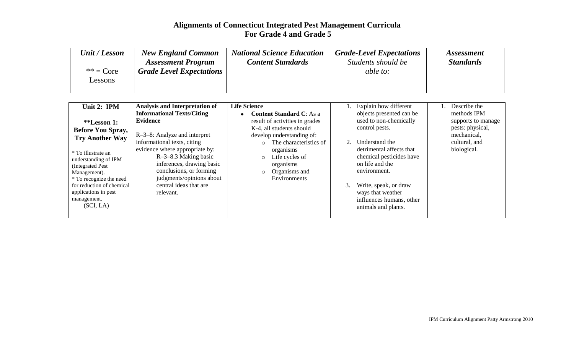| Unit / Lesson          | <b>New England Common</b>       | <b>National Science Education</b> | <b>Grade-Level Expectations</b> | <i>Assessment</i> |
|------------------------|---------------------------------|-----------------------------------|---------------------------------|-------------------|
|                        | <b>Assessment Program</b>       | <b>Content Standards</b>          | Students should be              | <b>Standards</b>  |
| $** = Core$<br>Lessons | <b>Grade Level Expectations</b> |                                   | <i>able to:</i>                 |                   |

| Unit 2: IPM               | Analysis and Interpretation of    | <b>Life Science</b>             |         | 1. Explain how different | Describe the       |
|---------------------------|-----------------------------------|---------------------------------|---------|--------------------------|--------------------|
|                           | <b>Informational Texts/Citing</b> | <b>Content Standard C:</b> As a |         | objects presented can be | methods IPM        |
| **Lesson 1:               | <b>Evidence</b>                   | result of activities in grades  |         | used to non-chemically   | supports to manage |
| <b>Before You Spray,</b>  |                                   | K-4, all students should        |         | control pests.           | pests: physical,   |
| <b>Try Another Way</b>    | $R-3-8$ : Analyze and interpret   | develop understanding of:       |         |                          | mechanical,        |
|                           | informational texts, citing       | The characteristics of          | $2^{2}$ | Understand the           | cultural, and      |
| * To illustrate an        | evidence where appropriate by:    | organisms                       |         | detrimental affects that | biological.        |
| understanding of IPM      | $R$ –3–8.3 Making basic           | Life cycles of<br>$\circ$       |         | chemical pesticides have |                    |
| (Integrated Pest)         | inferences, drawing basic         | organisms                       |         | on life and the          |                    |
| Management).              | conclusions, or forming           | Organisms and<br>$\circ$        |         | environment.             |                    |
| * To recognize the need   | judgments/opinions about          | Environments                    |         |                          |                    |
| for reduction of chemical | central ideas that are            |                                 | 3.      | Write, speak, or draw    |                    |
| applications in pest      | relevant.                         |                                 |         | ways that weather        |                    |
| management.               |                                   |                                 |         | influences humans, other |                    |
| (SCI, LA)                 |                                   |                                 |         | animals and plants.      |                    |
|                           |                                   |                                 |         |                          |                    |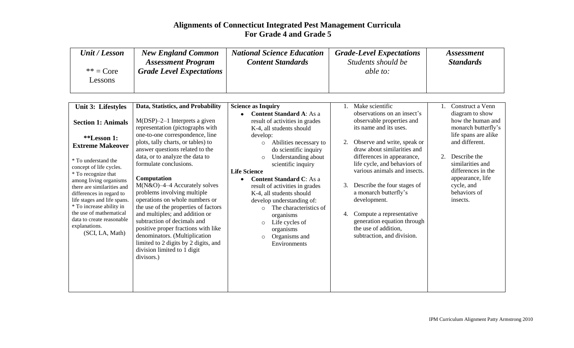| Unit / Lesson | <b>New England Common</b><br><b>Assessment Program</b> | <b>National Science Education</b><br><b>Content Standards</b> | <b>Grade-Level Expectations</b><br>Students should be | <i>Assessment</i><br><b>Standards</b> |
|---------------|--------------------------------------------------------|---------------------------------------------------------------|-------------------------------------------------------|---------------------------------------|
| $** = Core$   | <b>Grade Level Expectations</b>                        |                                                               | able to:                                              |                                       |
| Lessons       |                                                        |                                                               |                                                       |                                       |

| Unit 3: Lifestyles                                                                                                                                                                                                                      | Data, Statistics, and Probability                                                                                                                                                                                                                                                                                                                                                     | <b>Science as Inquiry</b>                                                                                                                                                                                                                               | Make scientific<br>Construct a Venn                                                                                                                                                                                                                             |
|-----------------------------------------------------------------------------------------------------------------------------------------------------------------------------------------------------------------------------------------|---------------------------------------------------------------------------------------------------------------------------------------------------------------------------------------------------------------------------------------------------------------------------------------------------------------------------------------------------------------------------------------|---------------------------------------------------------------------------------------------------------------------------------------------------------------------------------------------------------------------------------------------------------|-----------------------------------------------------------------------------------------------------------------------------------------------------------------------------------------------------------------------------------------------------------------|
| <b>Section 1: Animals</b>                                                                                                                                                                                                               | $M(DSP)$ –2–1 Interprets a given<br>representation (pictographs with<br>one-to-one correspondence, line                                                                                                                                                                                                                                                                               | <b>Content Standard A: As a</b><br>result of activities in grades<br>K-4, all students should<br>develop:                                                                                                                                               | observations on an insect's<br>diagram to show<br>how the human and<br>observable properties and<br>monarch butterfly's<br>its name and its uses.<br>life spans are alike                                                                                       |
| <i>**</i> Lesson 1:<br><b>Extreme Makeover</b>                                                                                                                                                                                          | plots, tally charts, or tables) to<br>answer questions related to the                                                                                                                                                                                                                                                                                                                 | Abilities necessary to<br>$\circ$<br>do scientific inquiry                                                                                                                                                                                              | and different.<br>Observe and write, speak or<br>draw about similarities and                                                                                                                                                                                    |
| * To understand the<br>concept of life cycles.<br>* To recognize that                                                                                                                                                                   | data, or to analyze the data to<br>formulate conclusions.                                                                                                                                                                                                                                                                                                                             | Understanding about<br>$\circ$<br>scientific inquiry<br><b>Life Science</b>                                                                                                                                                                             | differences in appearance,<br>Describe the<br>similarities and<br>life cycle, and behaviors of<br>various animals and insects.<br>differences in the                                                                                                            |
| among living organisms<br>there are similarities and<br>differences in regard to<br>life stages and life spans.<br>* To increase ability in<br>the use of mathematical<br>data to create reasonable<br>explanations.<br>(SCI, LA, Math) | Computation<br>$M(N&O)$ -4-4 Accurately solves<br>problems involving multiple<br>operations on whole numbers or<br>the use of the properties of factors<br>and multiples; and addition or<br>subtraction of decimals and<br>positive proper fractions with like<br>denominators. (Multiplication<br>limited to 2 digits by 2 digits, and<br>division limited to 1 digit<br>divisors.) | <b>Content Standard C: As a</b><br>result of activities in grades<br>K-4, all students should<br>develop understanding of:<br>The characteristics of<br>organisms<br>Life cycles of<br>$\circ$<br>organisms<br>Organisms and<br>$\circ$<br>Environments | appearance, life<br>Describe the four stages of<br>cycle, and<br>3.<br>a monarch butterfly's<br>behaviors of<br>development.<br>insects.<br>Compute a representative<br>4.<br>generation equation through<br>the use of addition,<br>subtraction, and division. |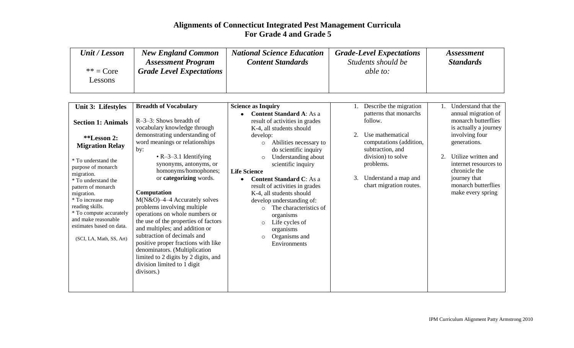| Unit / Lesson          | <b>New England Common</b><br><b>Assessment Program</b> | <b>National Science Education</b><br><b>Content Standards</b> | <b>Grade-Level Expectations</b><br>Students should be | <i>Assessment</i><br><b>Standards</b> |
|------------------------|--------------------------------------------------------|---------------------------------------------------------------|-------------------------------------------------------|---------------------------------------|
| $** = Core$<br>Lessons | <b>Grade Level Expectations</b>                        |                                                               | <i>able to:</i>                                       |                                       |
|                        |                                                        |                                                               |                                                       |                                       |

| Unit 3: Lifestyles                                                                                                                                                                                                                                                                                                                                 | <b>Breadth of Vocabulary</b>                                                                                                                                                                                                                                                                                                                                                                                                                                                                                                                                                                                                              | <b>Science as Inquiry</b>                                                                                                                                                                                                                                                                                                                                                                                                                                                                                                     | Describe the migration                                                                                                                                                                           | Understand that the                                                                                                                                                                                                                      |
|----------------------------------------------------------------------------------------------------------------------------------------------------------------------------------------------------------------------------------------------------------------------------------------------------------------------------------------------------|-------------------------------------------------------------------------------------------------------------------------------------------------------------------------------------------------------------------------------------------------------------------------------------------------------------------------------------------------------------------------------------------------------------------------------------------------------------------------------------------------------------------------------------------------------------------------------------------------------------------------------------------|-------------------------------------------------------------------------------------------------------------------------------------------------------------------------------------------------------------------------------------------------------------------------------------------------------------------------------------------------------------------------------------------------------------------------------------------------------------------------------------------------------------------------------|--------------------------------------------------------------------------------------------------------------------------------------------------------------------------------------------------|------------------------------------------------------------------------------------------------------------------------------------------------------------------------------------------------------------------------------------------|
| <b>Section 1: Animals</b><br><i>**</i> Lesson 2:<br><b>Migration Relay</b><br>* To understand the<br>purpose of monarch<br>migration.<br>* To understand the<br>pattern of monarch<br>migration.<br>* To increase map<br>reading skills.<br>* To compute accurately<br>and make reasonable<br>estimates based on data.<br>(SCI, LA, Math, SS, Art) | $R-3-3$ : Shows breadth of<br>vocabulary knowledge through<br>demonstrating understanding of<br>word meanings or relationships<br>by:<br>$\cdot$ R-3-3.1 Identifying<br>synonyms, antonyms, or<br>homonyms/homophones;<br>or categorizing words.<br>Computation<br>$M(N&O)$ -4-4 Accurately solves<br>problems involving multiple<br>operations on whole numbers or<br>the use of the properties of factors<br>and multiples; and addition or<br>subtraction of decimals and<br>positive proper fractions with like<br>denominators. (Multiplication<br>limited to 2 digits by 2 digits, and<br>division limited to 1 digit<br>divisors.) | <b>Content Standard A: As a</b><br>result of activities in grades<br>K-4, all students should<br>develop:<br>Abilities necessary to<br>$\circ$<br>do scientific inquiry<br>Understanding about<br>$\circ$<br>scientific inquiry<br><b>Life Science</b><br><b>Content Standard C:</b> As a<br>result of activities in grades<br>K-4, all students should<br>develop understanding of:<br>The characteristics of<br>$\Omega$<br>organisms<br>Life cycles of<br>$\circ$<br>organisms<br>Organisms and<br>$\circ$<br>Environments | patterns that monarchs<br>follow.<br>Use mathematical<br>computations (addition,<br>subtraction, and<br>division) to solve<br>problems.<br>Understand a map and<br>3.<br>chart migration routes. | annual migration of<br>monarch butterflies<br>is actually a journey<br>involving four<br>generations.<br>Utilize written and<br>2.<br>internet resources to<br>chronicle the<br>journey that<br>monarch butterflies<br>make every spring |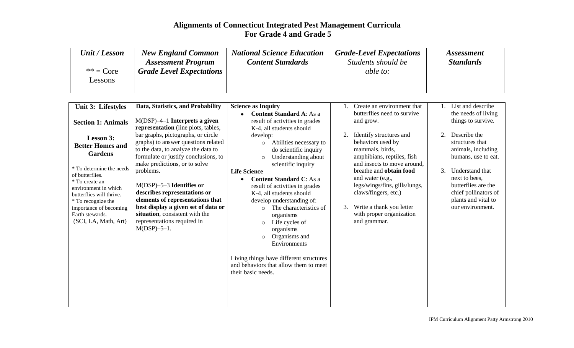| Unit / Lesson                 | <b>New England Common</b>       | <b>National Science Education</b> | <b>Grade-Level Expectations</b> | <i>Assessment</i> |
|-------------------------------|---------------------------------|-----------------------------------|---------------------------------|-------------------|
|                               | <b>Assessment Program</b>       | <b>Content Standards</b>          | Students should be              | <b>Standards</b>  |
| $** = Core$<br><b>Lessons</b> | <b>Grade Level Expectations</b> |                                   | able to:                        |                   |

| Unit 3: Lifestyles                               | Data, Statistics, and Probability                                          | <b>Science as Inquiry</b>                                                        |    | Create an environment that           |    | List and describe                     |
|--------------------------------------------------|----------------------------------------------------------------------------|----------------------------------------------------------------------------------|----|--------------------------------------|----|---------------------------------------|
|                                                  |                                                                            | <b>Content Standard A: As a</b>                                                  |    | butterflies need to survive          |    | the needs of living                   |
| <b>Section 1: Animals</b>                        | $M(DSP)$ -4-1 Interprets a given                                           | result of activities in grades                                                   |    | and grow.                            |    | things to survive.                    |
|                                                  | representation (line plots, tables,                                        | K-4, all students should                                                         |    |                                      |    |                                       |
| <b>Lesson 3:</b>                                 | bar graphs, pictographs, or circle                                         | develop:                                                                         |    | Identify structures and              | 2. | Describe the                          |
| <b>Better Homes and</b>                          | graphs) to answer questions related<br>to the data, to analyze the data to | Abilities necessary to<br>$\circ$                                                |    | behaviors used by<br>mammals, birds, |    | structures that<br>animals, including |
| <b>Gardens</b>                                   | formulate or justify conclusions, to                                       | do scientific inquiry<br>Understanding about                                     |    | amphibians, reptiles, fish           |    | humans, use to eat.                   |
|                                                  | make predictions, or to solve                                              | $\circ$<br>scientific inquiry                                                    |    | and insects to move around,          |    |                                       |
| * To determine the needs                         | problems.                                                                  | <b>Life Science</b>                                                              |    | breathe and obtain food              | 3. | Understand that                       |
| of butterflies.                                  |                                                                            | <b>Content Standard C: As a</b>                                                  |    | and water (e.g.,                     |    | next to bees,                         |
| * To create an                                   | $M(DSP)$ –5–3 Identifies or                                                | result of activities in grades                                                   |    | legs/wings/fins, gills/lungs,        |    | butterflies are the                   |
| environment in which<br>butterflies will thrive. | describes representations or                                               | K-4, all students should                                                         |    | claws/fingers, etc.)                 |    | chief pollinators of                  |
| * To recognize the                               | elements of representations that                                           | develop understanding of:                                                        |    |                                      |    | plants and vital to                   |
| importance of becoming                           | best display a given set of data or                                        | The characteristics of<br>$\Omega$                                               | 3. | Write a thank you letter             |    | our environment.                      |
| Earth stewards.                                  | situation, consistent with the                                             | organisms                                                                        |    | with proper organization             |    |                                       |
| (SCI, LA, Math, Art)                             | representations required in                                                | Life cycles of<br>$\circ$                                                        |    | and grammar.                         |    |                                       |
|                                                  | $M(DSP) - 5 - 1$ .                                                         | organisms                                                                        |    |                                      |    |                                       |
|                                                  |                                                                            | Organisms and<br>$\circ$                                                         |    |                                      |    |                                       |
|                                                  |                                                                            | Environments                                                                     |    |                                      |    |                                       |
|                                                  |                                                                            |                                                                                  |    |                                      |    |                                       |
|                                                  |                                                                            | Living things have different structures<br>and behaviors that allow them to meet |    |                                      |    |                                       |
|                                                  |                                                                            | their basic needs.                                                               |    |                                      |    |                                       |
|                                                  |                                                                            |                                                                                  |    |                                      |    |                                       |
|                                                  |                                                                            |                                                                                  |    |                                      |    |                                       |
|                                                  |                                                                            |                                                                                  |    |                                      |    |                                       |
|                                                  |                                                                            |                                                                                  |    |                                      |    |                                       |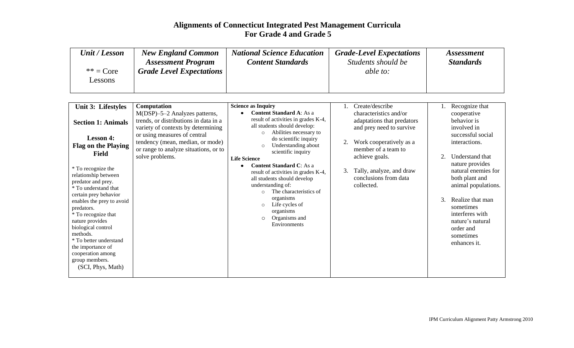| Unit / Lesson          | <b>New England Common</b>       | <b>National Science Education</b> | <b>Grade-Level Expectations</b> | <i>Assessment</i> |
|------------------------|---------------------------------|-----------------------------------|---------------------------------|-------------------|
|                        | <b>Assessment Program</b>       | <b>Content Standards</b>          | Students should be              | <b>Standards</b>  |
| $** = Core$<br>Lessons | <b>Grade Level Expectations</b> |                                   | able to:                        |                   |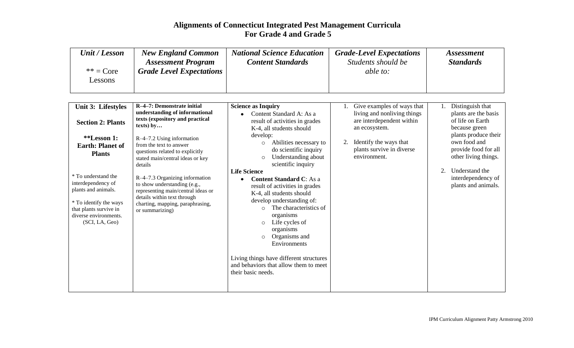| Unit / Lesson          | <b>New England Common</b><br><b>Assessment Program</b> | <b>National Science Education</b><br><b>Content Standards</b> | <b>Grade-Level Expectations</b><br>Students should be | <i>Assessment</i><br><b>Standards</b> |
|------------------------|--------------------------------------------------------|---------------------------------------------------------------|-------------------------------------------------------|---------------------------------------|
| $** = Core$<br>Lessons | <b>Grade Level Expectations</b>                        |                                                               | able to:                                              |                                       |
|                        |                                                        |                                                               |                                                       |                                       |

| Unit 3: Lifestyles<br><b>Section 2: Plants</b><br><i>**Lesson 1:</i><br><b>Earth: Planet of</b><br><b>Plants</b><br>* To understand the<br>interdependency of<br>plants and animals.<br>* To identify the ways<br>that plants survive in<br>diverse environments.<br>(SCI, LA, Geo) | R-4-7: Demonstrate initial<br>understanding of informational<br>texts (expository and practical<br>texts) by<br>R-4-7.2 Using information<br>from the text to answer<br>questions related to explicitly<br>stated main/central ideas or key<br>details<br>R-4-7.3 Organizing information<br>to show understanding (e.g.,<br>representing main/central ideas or<br>details within text through<br>charting, mapping, paraphrasing,<br>or summarizing) | <b>Science as Inquiry</b><br>Content Standard A: As a<br>result of activities in grades<br>K-4, all students should<br>develop:<br>Abilities necessary to<br>$\circ$<br>do scientific inquiry<br>Understanding about<br>$\circ$<br>scientific inquiry<br><b>Life Science</b><br><b>Content Standard C:</b> As a<br>result of activities in grades<br>K-4, all students should<br>develop understanding of:<br>The characteristics of<br>$\circ$<br>organisms<br>Life cycles of<br>$\circ$<br>organisms<br>Organisms and<br>$\circ$<br>Environments<br>Living things have different structures<br>and behaviors that allow them to meet<br>their basic needs. | Give examples of ways that<br>living and nonliving things<br>are interdependent within<br>an ecosystem.<br>Identify the ways that<br>2.<br>plants survive in diverse<br>environment. | Distinguish that<br>plants are the basis<br>of life on Earth<br>because green<br>plants produce their<br>own food and<br>provide food for all<br>other living things.<br>Understand the<br>interdependency of<br>plants and animals. |
|-------------------------------------------------------------------------------------------------------------------------------------------------------------------------------------------------------------------------------------------------------------------------------------|------------------------------------------------------------------------------------------------------------------------------------------------------------------------------------------------------------------------------------------------------------------------------------------------------------------------------------------------------------------------------------------------------------------------------------------------------|--------------------------------------------------------------------------------------------------------------------------------------------------------------------------------------------------------------------------------------------------------------------------------------------------------------------------------------------------------------------------------------------------------------------------------------------------------------------------------------------------------------------------------------------------------------------------------------------------------------------------------------------------------------|--------------------------------------------------------------------------------------------------------------------------------------------------------------------------------------|--------------------------------------------------------------------------------------------------------------------------------------------------------------------------------------------------------------------------------------|
|-------------------------------------------------------------------------------------------------------------------------------------------------------------------------------------------------------------------------------------------------------------------------------------|------------------------------------------------------------------------------------------------------------------------------------------------------------------------------------------------------------------------------------------------------------------------------------------------------------------------------------------------------------------------------------------------------------------------------------------------------|--------------------------------------------------------------------------------------------------------------------------------------------------------------------------------------------------------------------------------------------------------------------------------------------------------------------------------------------------------------------------------------------------------------------------------------------------------------------------------------------------------------------------------------------------------------------------------------------------------------------------------------------------------------|--------------------------------------------------------------------------------------------------------------------------------------------------------------------------------------|--------------------------------------------------------------------------------------------------------------------------------------------------------------------------------------------------------------------------------------|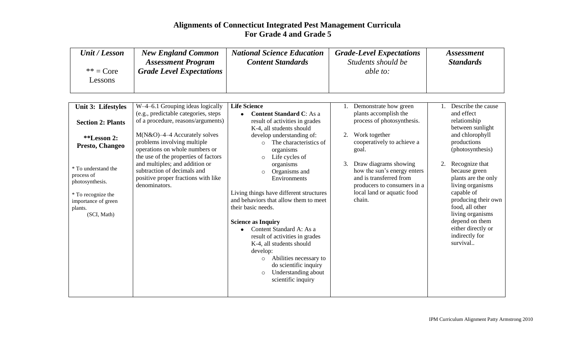| Unit / Lesson                | <b>New England Common</b>       | <b>National Science Education</b> | <b>Grade-Level Expectations</b> | <i>Assessment</i> |
|------------------------------|---------------------------------|-----------------------------------|---------------------------------|-------------------|
|                              | <b>Assessment Program</b>       | <b>Content Standards</b>          | Students should be              | <b>Standards</b>  |
| $** = Core$<br><i>essons</i> | <b>Grade Level Expectations</b> |                                   | able to:                        |                   |

| <b>Unit 3: Lifestyles</b>                                                                                                   | W-4-6.1 Grouping ideas logically                                                                                                         | <b>Life Science</b>                                                                                                                                                                                                                                                                                                                                                                                           |    | Demonstrate how green                                                                                                                                  |    | Describe the cause                                                                                                                                                                                                           |
|-----------------------------------------------------------------------------------------------------------------------------|------------------------------------------------------------------------------------------------------------------------------------------|---------------------------------------------------------------------------------------------------------------------------------------------------------------------------------------------------------------------------------------------------------------------------------------------------------------------------------------------------------------------------------------------------------------|----|--------------------------------------------------------------------------------------------------------------------------------------------------------|----|------------------------------------------------------------------------------------------------------------------------------------------------------------------------------------------------------------------------------|
| <b>Section 2: Plants</b>                                                                                                    | (e.g., predictable categories, steps<br>of a procedure, reasons/arguments)                                                               | <b>Content Standard C:</b> As a<br>result of activities in grades<br>K-4, all students should                                                                                                                                                                                                                                                                                                                 |    | plants accomplish the<br>process of photosynthesis.                                                                                                    |    | and effect<br>relationship<br>between sunlight                                                                                                                                                                               |
| <i>**Lesson 2:</i><br>Presto, Changeo                                                                                       | $M(N&O)$ -4-4 Accurately solves<br>problems involving multiple<br>operations on whole numbers or<br>the use of the properties of factors | develop understanding of:<br>The characteristics of<br>$\bigcap$<br>organisms<br>Life cycles of<br>$\circ$                                                                                                                                                                                                                                                                                                    | 2. | Work together<br>cooperatively to achieve a<br>goal.                                                                                                   |    | and chlorophyll<br>productions<br>(photosynthesis)                                                                                                                                                                           |
| * To understand the<br>process of<br>photosynthesis.<br>* To recognize the<br>importance of green<br>plants.<br>(SCI, Math) | and multiples; and addition or<br>subtraction of decimals and<br>positive proper fractions with like<br>denominators.                    | organisms<br>Organisms and<br>Environments<br>Living things have different structures<br>and behaviors that allow them to meet<br>their basic needs.<br><b>Science as Inquiry</b><br>Content Standard A: As a<br>result of activities in grades<br>K-4, all students should<br>develop:<br>Abilities necessary to<br>$\circ$<br>do scientific inquiry<br>Understanding about<br>$\circ$<br>scientific inquiry | 3. | Draw diagrams showing<br>how the sun's energy enters<br>and is transferred from<br>producers to consumers in a<br>local land or aquatic food<br>chain. | 2. | Recognize that<br>because green<br>plants are the only<br>living organisms<br>capable of<br>producing their own<br>food, all other<br>living organisms<br>depend on them<br>either directly or<br>indirectly for<br>survival |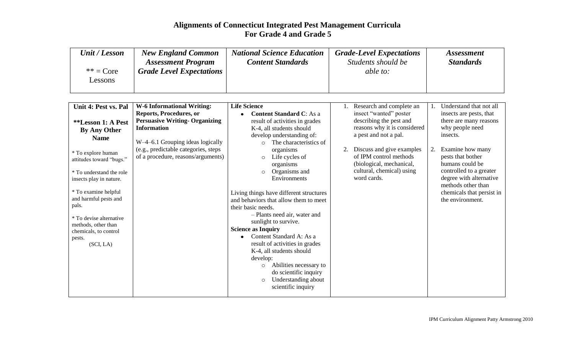| Unit / Lesson          | <b>New England Common</b>       | <b>National Science Education</b> | <b>Grade-Level Expectations</b> | <i>Assessment</i> |
|------------------------|---------------------------------|-----------------------------------|---------------------------------|-------------------|
|                        | <b>Assessment Program</b>       | <b>Content Standards</b>          | Students should be              | <b>Standards</b>  |
| $** = Core$<br>Lessons | <b>Grade Level Expectations</b> |                                   | <i>able to:</i>                 |                   |

| Unit 4: Pest vs. Pal     | <b>W-6 Informational Writing:</b>     | <b>Life Science</b>                     | Research and complete an     |    | Understand that not all   |
|--------------------------|---------------------------------------|-----------------------------------------|------------------------------|----|---------------------------|
|                          | Reports, Procedures, or               | <b>Content Standard C:</b> As a         | insect "wanted" poster       |    | insects are pests, that   |
| **Lesson 1: A Pest       | <b>Persuasive Writing- Organizing</b> | result of activities in grades          | describing the pest and      |    | there are many reasons    |
| <b>By Any Other</b>      | <b>Information</b>                    | K-4, all students should                | reasons why it is considered |    | why people need           |
| <b>Name</b>              |                                       | develop understanding of:               | a pest and not a pal.        |    | insects.                  |
|                          | W-4-6.1 Grouping ideas logically      | The characteristics of                  |                              |    |                           |
| * To explore human       | (e.g., predictable categories, steps  | organisms                               | Discuss and give examples    | 2. | Examine how many          |
| attitudes toward "bugs." | of a procedure, reasons/arguments)    | Life cycles of<br>$\circ$               | of IPM control methods       |    | pests that bother         |
|                          |                                       | organisms                               | (biological, mechanical,     |    | humans could be           |
| * To understand the role |                                       | Organisms and<br>$\circ$                | cultural, chemical) using    |    | controlled to a greater   |
| insects play in nature.  |                                       | Environments                            | word cards.                  |    | degree with alternative   |
|                          |                                       |                                         |                              |    | methods other than        |
| * To examine helpful     |                                       | Living things have different structures |                              |    | chemicals that persist in |
| and harmful pests and    |                                       | and behaviors that allow them to meet   |                              |    | the environment.          |
| pals.                    |                                       | their basic needs.                      |                              |    |                           |
| * To devise alternative  |                                       | - Plants need air, water and            |                              |    |                           |
| methods, other than      |                                       | sunlight to survive.                    |                              |    |                           |
| chemicals, to control    |                                       | <b>Science as Inquiry</b>               |                              |    |                           |
| pests.                   |                                       | Content Standard A: As a                |                              |    |                           |
| (SCI, LA)                |                                       | result of activities in grades          |                              |    |                           |
|                          |                                       | K-4, all students should                |                              |    |                           |
|                          |                                       | develop:                                |                              |    |                           |
|                          |                                       | Abilities necessary to<br>$\circ$       |                              |    |                           |
|                          |                                       | do scientific inquiry                   |                              |    |                           |
|                          |                                       | Understanding about<br>$\circ$          |                              |    |                           |
|                          |                                       | scientific inquiry                      |                              |    |                           |
|                          |                                       |                                         |                              |    |                           |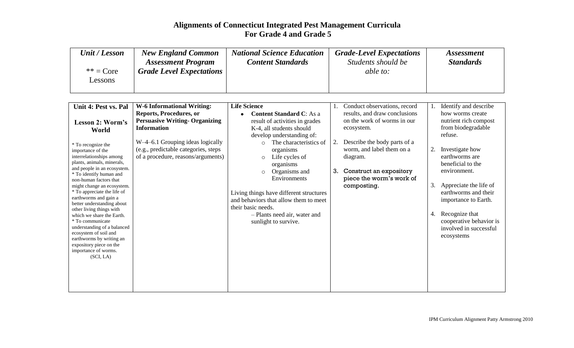| Unit / Lesson | <b>New England Common</b><br><b>Assessment Program</b> | <b>National Science Education</b><br><b>Content Standards</b> | <b>Grade-Level Expectations</b><br>Students should be | <i>Assessment</i><br><b>Standards</b> |
|---------------|--------------------------------------------------------|---------------------------------------------------------------|-------------------------------------------------------|---------------------------------------|
| $** = Core$   | <b>Grade Level Expectations</b>                        |                                                               | <i>able to:</i>                                       |                                       |
| Lessons       |                                                        |                                                               |                                                       |                                       |

| Unit 4: Pest vs. Pal                                   | <b>W-6 Informational Writing:</b>     | <b>Life Science</b>                     |    | Conduct observations, record  |    | Identify and describe   |
|--------------------------------------------------------|---------------------------------------|-----------------------------------------|----|-------------------------------|----|-------------------------|
|                                                        | Reports, Procedures, or               | <b>Content Standard C:</b> As a         |    | results, and draw conclusions |    | how worms create        |
| Lesson 2: Worm's                                       | <b>Persuasive Writing- Organizing</b> | result of activities in grades          |    | on the work of worms in our   |    | nutrient rich compost   |
| World                                                  | <b>Information</b>                    | K-4, all students should                |    | ecosystem.                    |    | from biodegradable      |
|                                                        |                                       | develop understanding of:               |    |                               |    | refuse.                 |
| * To recognize the                                     | W-4-6.1 Grouping ideas logically      | The characteristics of<br>$\bigcirc$    | 2. | Describe the body parts of a  |    |                         |
| importance of the                                      | (e.g., predictable categories, steps) | organisms                               |    | worm, and label them on a     | 2. | Investigate how         |
| interrelationships among                               | of a procedure, reasons/arguments)    | Life cycles of<br>$\circ$               |    | diagram.                      |    | earthworms are          |
| plants, animals, minerals,                             |                                       | organisms                               |    |                               |    | beneficial to the       |
| and people in an ecosystem.<br>* To identify human and |                                       | Organisms and<br>$\circ$                |    | 3. Construct an expository    |    | environment.            |
| non-human factors that                                 |                                       | Environments                            |    | piece the worm's work of      |    |                         |
| might change an ecosystem.                             |                                       |                                         |    | composting.                   | 3. | Appreciate the life of  |
| * To appreciate the life of                            |                                       | Living things have different structures |    |                               |    | earthworms and their    |
| earthworms and gain a<br>better understanding about    |                                       | and behaviors that allow them to meet   |    |                               |    | importance to Earth.    |
| other living things with                               |                                       | their basic needs.                      |    |                               |    |                         |
| which we share the Earth.                              |                                       | - Plants need air, water and            |    |                               | 4. | Recognize that          |
| * To communicate                                       |                                       | sunlight to survive.                    |    |                               |    | cooperative behavior is |
| understanding of a balanced<br>ecosystem of soil and   |                                       |                                         |    |                               |    | involved in successful  |
| earthworms by writing an                               |                                       |                                         |    |                               |    | ecosystems              |
| expository piece on the                                |                                       |                                         |    |                               |    |                         |
| importance of worms.                                   |                                       |                                         |    |                               |    |                         |
| (SCI, LA)                                              |                                       |                                         |    |                               |    |                         |
|                                                        |                                       |                                         |    |                               |    |                         |
|                                                        |                                       |                                         |    |                               |    |                         |
|                                                        |                                       |                                         |    |                               |    |                         |
|                                                        |                                       |                                         |    |                               |    |                         |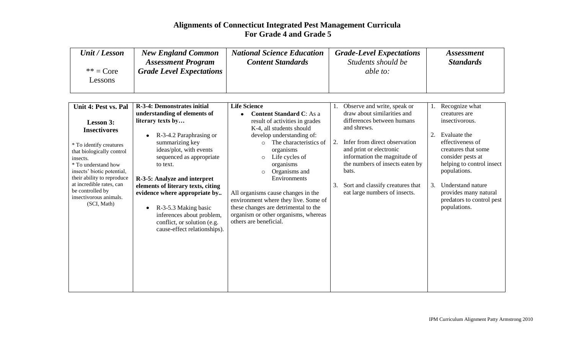| Unit / Lesson | <b>New England Common</b>       | <b>National Science Education</b> | <b>Grade-Level Expectations</b> | <i>Assessment</i> |
|---------------|---------------------------------|-----------------------------------|---------------------------------|-------------------|
|               | <b>Assessment Program</b>       | <b>Content Standards</b>          | Students should be              | <b>Standards</b>  |
| $** = Core$   | <b>Grade Level Expectations</b> |                                   | <i>able to:</i>                 |                   |
| Lessons       |                                 |                                   |                                 |                   |
|               |                                 |                                   |                                 |                   |

| Unit 4: Pest vs. Pal                         | <b>R-3-4: Demonstrates initial</b>   | <b>Life Science</b>                  |    | Observe and write, speak or      |    | Recognize what            |
|----------------------------------------------|--------------------------------------|--------------------------------------|----|----------------------------------|----|---------------------------|
|                                              | understanding of elements of         | <b>Content Standard C:</b> As a      |    | draw about similarities and      |    | creatures are             |
| Lesson 3:                                    | literary texts by                    | result of activities in grades       |    | differences between humans       |    | insectivorous.            |
| <b>Insectivores</b>                          |                                      | K-4, all students should             |    | and shrews.                      |    |                           |
|                                              | R-3-4.2 Paraphrasing or<br>$\bullet$ | develop understanding of:            |    |                                  |    | Evaluate the              |
| * To identify creatures                      | summarizing key                      | The characteristics of<br>$\Omega$   | 2. | Infer from direct observation    |    | effectiveness of          |
| that biologically control                    | ideas/plot, with events              | organisms                            |    | and print or electronic          |    | creatures that some       |
| insects.                                     | sequenced as appropriate             | Life cycles of<br>$\circ$            |    | information the magnitude of     |    | consider pests at         |
| * To understand how                          | to text.                             | organisms                            |    | the numbers of insects eaten by  |    | helping to control insect |
| insects' biotic potential,                   |                                      | Organisms and<br>$\circ$             |    | bats.                            |    | populations.              |
| their ability to reproduce                   | R-3-5: Analyze and interpret         | Environments                         |    |                                  |    |                           |
| at incredible rates, can<br>be controlled by | elements of literary texts, citing   |                                      | 3. | Sort and classify creatures that | 3. | Understand nature         |
| insectivorous animals.                       | evidence where appropriate by        | All organisms cause changes in the   |    | eat large numbers of insects.    |    | provides many natural     |
| (SCI, Math)                                  |                                      | environment where they live. Some of |    |                                  |    | predators to control pest |
|                                              | R-3-5.3 Making basic<br>$\bullet$    | these changes are detrimental to the |    |                                  |    | populations.              |
|                                              | inferences about problem,            | organism or other organisms, whereas |    |                                  |    |                           |
|                                              | conflict, or solution (e.g.          | others are beneficial.               |    |                                  |    |                           |
|                                              | cause-effect relationships).         |                                      |    |                                  |    |                           |
|                                              |                                      |                                      |    |                                  |    |                           |
|                                              |                                      |                                      |    |                                  |    |                           |
|                                              |                                      |                                      |    |                                  |    |                           |
|                                              |                                      |                                      |    |                                  |    |                           |
|                                              |                                      |                                      |    |                                  |    |                           |
|                                              |                                      |                                      |    |                                  |    |                           |
|                                              |                                      |                                      |    |                                  |    |                           |
|                                              |                                      |                                      |    |                                  |    |                           |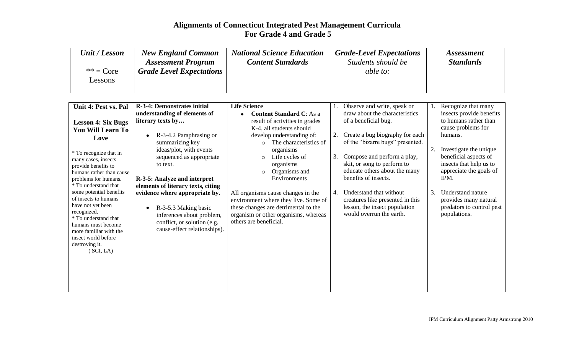| Unit / Lesson | <b>New England Common</b>       | <b>National Science Education</b> | <b>Grade-Level Expectations</b> | <i>Assessment</i> |
|---------------|---------------------------------|-----------------------------------|---------------------------------|-------------------|
|               | <b>Assessment Program</b>       | <b>Content Standards</b>          | Students should be              | <b>Standards</b>  |
| $** = Core$   | <b>Grade Level Expectations</b> |                                   | <i>able to:</i>                 |                   |
| Lessons       |                                 |                                   |                                 |                   |
|               |                                 |                                   |                                 |                   |

| Unit 4: Pest vs. Pal             | <b>R-3-4: Demonstrates initial</b>   | <b>Life Science</b>                  |    | Observe and write, speak or      |    | Recognize that many       |
|----------------------------------|--------------------------------------|--------------------------------------|----|----------------------------------|----|---------------------------|
|                                  | understanding of elements of         | <b>Content Standard C:</b> As a      |    | draw about the characteristics   |    | insects provide benefits  |
| <b>Lesson 4: Six Bugs</b>        | literary texts by                    | result of activities in grades       |    | of a beneficial bug.             |    | to humans rather than     |
| <b>You Will Learn To</b>         |                                      | K-4, all students should             |    |                                  |    | cause problems for        |
| Love                             | R-3-4.2 Paraphrasing or<br>$\bullet$ | develop understanding of:            |    | Create a bug biography for each  |    | humans.                   |
|                                  | summarizing key                      | The characteristics of<br>$\bigcirc$ |    | of the "bizarre bugs" presented. |    |                           |
| * To recognize that in           | ideas/plot, with events              | organisms                            |    |                                  | 2. | Investigate the unique    |
| many cases, insects              | sequenced as appropriate             | Life cycles of<br>$\circ$            | 3. | Compose and perform a play,      |    | beneficial aspects of     |
| provide benefits to              | to text.                             | organisms                            |    | skit, or song to perform to      |    | insects that help us to   |
| humans rather than cause         |                                      | Organisms and<br>$\circ$             |    | educate others about the many    |    | appreciate the goals of   |
| problems for humans.             | R-3-5: Analyze and interpret         | Environments                         |    | benefits of insects.             |    | IPM.                      |
| * To understand that             | elements of literary texts, citing   |                                      |    |                                  |    |                           |
| some potential benefits          | evidence where appropriate by.       | All organisms cause changes in the   | 4. | Understand that without          | 3. | Understand nature         |
| of insects to humans             |                                      | environment where they live. Some of |    | creatures like presented in this |    | provides many natural     |
| have not yet been<br>recognized. | R-3-5.3 Making basic<br>$\bullet$    | these changes are detrimental to the |    | lesson, the insect population    |    | predators to control pest |
| * To understand that             | inferences about problem,            | organism or other organisms, whereas |    | would overrun the earth.         |    | populations.              |
| humans must become               | conflict, or solution (e.g.          | others are beneficial.               |    |                                  |    |                           |
| more familiar with the           | cause-effect relationships).         |                                      |    |                                  |    |                           |
| insect world before              |                                      |                                      |    |                                  |    |                           |
| destroying it.                   |                                      |                                      |    |                                  |    |                           |
| (SCI, LA)                        |                                      |                                      |    |                                  |    |                           |
|                                  |                                      |                                      |    |                                  |    |                           |
|                                  |                                      |                                      |    |                                  |    |                           |
|                                  |                                      |                                      |    |                                  |    |                           |
|                                  |                                      |                                      |    |                                  |    |                           |
|                                  |                                      |                                      |    |                                  |    |                           |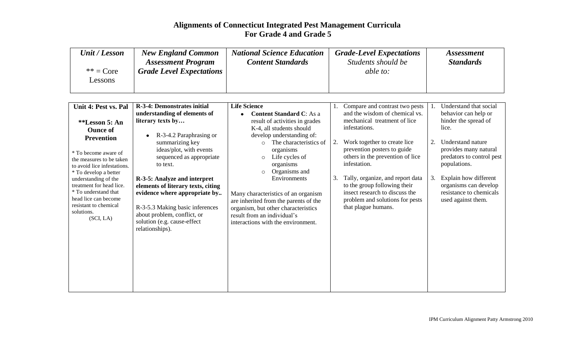| Unit / Lesson | <b>New England Common</b>       | <b>National Science Education</b> | <b>Grade-Level Expectations</b> | <i>Assessment</i> |
|---------------|---------------------------------|-----------------------------------|---------------------------------|-------------------|
|               | <b>Assessment Program</b>       | <b>Content Standards</b>          | Students should be              | <b>Standards</b>  |
| $** = Core$   | <b>Grade Level Expectations</b> |                                   | able to:                        |                   |
| Lessons       |                                 |                                   |                                 |                   |
|               |                                 |                                   |                                 |                   |

| Unit 4: Pest vs. Pal                             | <b>R-3-4: Demonstrates initial</b>                                  | <b>Life Science</b>                                                          |    | Compare and contrast two pests   |    | Understand that social    |
|--------------------------------------------------|---------------------------------------------------------------------|------------------------------------------------------------------------------|----|----------------------------------|----|---------------------------|
|                                                  | understanding of elements of                                        | <b>Content Standard C:</b> As a                                              |    | and the wisdom of chemical vs.   |    | behavior can help or      |
| **Lesson 5: An                                   | literary texts by                                                   | result of activities in grades                                               |    | mechanical treatment of lice     |    | hinder the spread of      |
| <b>Ounce of</b>                                  |                                                                     | K-4, all students should                                                     |    | infestations.                    |    | lice.                     |
| <b>Prevention</b>                                | R-3-4.2 Paraphrasing or<br>$\bullet$                                | develop understanding of:                                                    |    |                                  |    |                           |
|                                                  | summarizing key                                                     | The characteristics of<br>$\bigcirc$                                         | 2. | Work together to create lice     | 2. | Understand nature         |
| * To become aware of                             | ideas/plot, with events                                             | organisms                                                                    |    | prevention posters to guide      |    | provides many natural     |
| the measures to be taken                         | sequenced as appropriate                                            | Life cycles of<br>$\circ$                                                    |    | others in the prevention of lice |    | predators to control pest |
| to avoid lice infestations.                      | to text.                                                            | organisms                                                                    |    | infestation.                     |    | populations.              |
| * To develop a better                            |                                                                     | Organisms and<br>$\circ$                                                     | 3. | Tally, organize, and report data | 3. | Explain how different     |
| understanding of the<br>treatment for head lice. | R-3-5: Analyze and interpret                                        | Environments                                                                 |    | to the group following their     |    | organisms can develop     |
| * To understand that                             | elements of literary texts, citing<br>evidence where appropriate by |                                                                              |    | insect research to discuss the   |    | resistance to chemicals   |
| head lice can become                             |                                                                     | Many characteristics of an organism<br>are inherited from the parents of the |    | problem and solutions for pests  |    | used against them.        |
| resistant to chemical                            | R-3-5.3 Making basic inferences                                     | organism, but other characteristics                                          |    | that plague humans.              |    |                           |
| solutions.                                       | about problem, conflict, or                                         | result from an individual's                                                  |    |                                  |    |                           |
| (SCI, LA)                                        | solution (e.g. cause-effect                                         | interactions with the environment.                                           |    |                                  |    |                           |
|                                                  | relationships).                                                     |                                                                              |    |                                  |    |                           |
|                                                  |                                                                     |                                                                              |    |                                  |    |                           |
|                                                  |                                                                     |                                                                              |    |                                  |    |                           |
|                                                  |                                                                     |                                                                              |    |                                  |    |                           |
|                                                  |                                                                     |                                                                              |    |                                  |    |                           |
|                                                  |                                                                     |                                                                              |    |                                  |    |                           |
|                                                  |                                                                     |                                                                              |    |                                  |    |                           |
|                                                  |                                                                     |                                                                              |    |                                  |    |                           |
|                                                  |                                                                     |                                                                              |    |                                  |    |                           |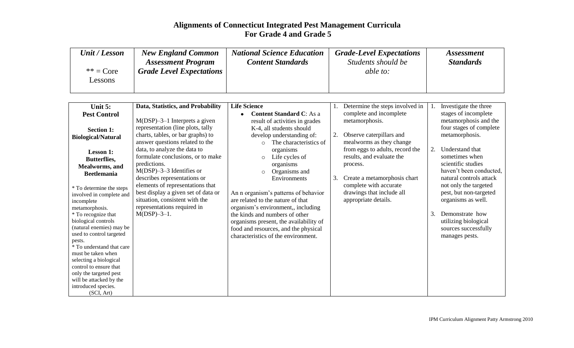| Unit / Lesson                 | <b>New England Common</b>       | <b>National Science Education</b> | <b>Grade-Level Expectations</b> | <i>Assessment</i> |
|-------------------------------|---------------------------------|-----------------------------------|---------------------------------|-------------------|
|                               | <b>Assessment Program</b>       | <b>Content Standards</b>          | Students should be              | <b>Standards</b>  |
| $** = Core$<br><b>Lessons</b> | <b>Grade Level Expectations</b> |                                   | able to:                        |                   |

| Unit 5:                             | Data, Statistics, and Probability   | <b>Life Science</b>                    |    | Determine the steps involved in |    | Investigate the three   |
|-------------------------------------|-------------------------------------|----------------------------------------|----|---------------------------------|----|-------------------------|
| <b>Pest Control</b>                 |                                     | <b>Content Standard C:</b> As a        |    | complete and incomplete         |    | stages of incomplete    |
|                                     | $M(DSP)$ –3–1 Interprets a given    | result of activities in grades         |    | metamorphosis.                  |    | metamorphosis and the   |
| <b>Section 1:</b>                   | representation (line plots, tally   | K-4, all students should               |    |                                 |    | four stages of complete |
| <b>Biological/Natural</b>           | charts, tables, or bar graphs) to   | develop understanding of:              |    | Observe caterpillars and        |    | metamorphosis.          |
|                                     | answer questions related to the     | The characteristics of<br>$\circ$      |    | mealworms as they change        |    |                         |
| <b>Lesson 1:</b>                    | data, to analyze the data to        | organisms                              |    | from eggs to adults, record the | 2. | Understand that         |
| <b>Butterflies,</b>                 | formulate conclusions, or to make   | Life cycles of<br>$\circ$              |    | results, and evaluate the       |    | sometimes when          |
| <b>Mealworms</b> , and              | predictions.                        | organisms                              |    | process.                        |    | scientific studies      |
| <b>Beetlemania</b>                  | $M(DSP)$ –3–3 Identifies or         | Organisms and<br>$\circ$               |    |                                 |    | haven't been conducted, |
|                                     | describes representations or        | Environments                           | 3. | Create a metamorphosis chart    |    | natural controls attack |
| * To determine the steps            | elements of representations that    |                                        |    | complete with accurate          |    | not only the targeted   |
| involved in complete and            | best display a given set of data or | An n organism's patterns of behavior   |    | drawings that include all       |    | pest, but non-targeted  |
| incomplete                          | situation, consistent with the      | are related to the nature of that      |    | appropriate details.            |    | organisms as well.      |
| metamorphosis.                      | representations required in         | organism's environment,, including     |    |                                 |    |                         |
| * To recognize that                 | $M(DSP) - 3 - 1$ .                  | the kinds and numbers of other         |    |                                 | 3. | Demonstrate how         |
| biological controls                 |                                     | organisms present, the availability of |    |                                 |    | utilizing biological    |
| (natural enemies) may be            |                                     | food and resources, and the physical   |    |                                 |    | sources successfully    |
| used to control targeted            |                                     | characteristics of the environment.    |    |                                 |    | manages pests.          |
| pests.<br>* To understand that care |                                     |                                        |    |                                 |    |                         |
| must be taken when                  |                                     |                                        |    |                                 |    |                         |
| selecting a biological              |                                     |                                        |    |                                 |    |                         |
| control to ensure that              |                                     |                                        |    |                                 |    |                         |
| only the targeted pest              |                                     |                                        |    |                                 |    |                         |
| will be attacked by the             |                                     |                                        |    |                                 |    |                         |
| introduced species.                 |                                     |                                        |    |                                 |    |                         |
| (SCI, Art)                          |                                     |                                        |    |                                 |    |                         |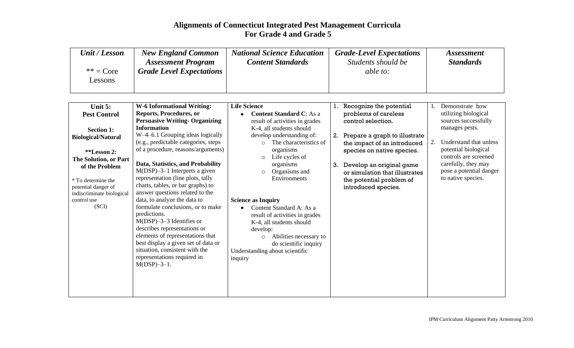| Unit / Lesson          | <b>New England Common</b>       | <b>National Science Education</b> | <b>Grade-Level Expectations</b> | <i>Assessment</i> |
|------------------------|---------------------------------|-----------------------------------|---------------------------------|-------------------|
|                        | <b>Assessment Program</b>       | <b>Content Standards</b>          | Students should be              | <b>Standards</b>  |
| $** = Core$<br>Lessons | <b>Grade Level Expectations</b> |                                   | able to:                        |                   |

| Unit 5:                   | <b>W-6 Informational Writing:</b>     | <b>Life Science</b>                  |    | Recognize the potential        |    | Demonstrate how         |
|---------------------------|---------------------------------------|--------------------------------------|----|--------------------------------|----|-------------------------|
| <b>Pest Control</b>       | Reports, Procedures, or               | <b>Content Standard C:</b> As a      |    | problems of careless           |    | utilizing biological    |
|                           | <b>Persuasive Writing- Organizing</b> | result of activities in grades       |    | control selection.             |    | sources successfully    |
| <b>Section 1:</b>         | <b>Information</b>                    | K-4, all students should             |    |                                |    | manages pests.          |
| <b>Biological/Natural</b> | W-4-6.1 Grouping ideas logically      | develop understanding of:            | 2. | Prepare a graph to illustrate  |    |                         |
|                           | (e.g., predictable categories, steps  | The characteristics of<br>$\bigcirc$ |    | the impact of an introduced    | 2. | Understand that unless  |
| **Lesson 2:               | of a procedure, reasons/arguments)    | organisms                            |    | species on native species.     |    | potential biological    |
| The Solution, or Part     |                                       | Life cycles of<br>$\circ$            |    |                                |    | controls are screened   |
| of the Problem            | Data, Statistics, and Probability     | organisms                            | 3. | Develop an original game       |    | carefully, they may     |
|                           | $M(DSP)$ –3–1 Interprets a given      | Organisms and                        |    | or simulation that illustrates |    | pose a potential danger |
| * To determine the        | representation (line plots, tally     | Environments                         |    | the potential problem of       |    | to native species.      |
| potential danger of       | charts, tables, or bar graphs) to     |                                      |    | introduced species.            |    |                         |
| indiscriminate biological | answer questions related to the       |                                      |    |                                |    |                         |
| control use               | data, to analyze the data to          | <b>Science as Inquiry</b>            |    |                                |    |                         |
| (SCI)                     | formulate conclusions, or to make     | Content Standard A: As a             |    |                                |    |                         |
|                           | predictions.                          | result of activities in grades       |    |                                |    |                         |
|                           | $M(DSP)$ –3–3 Identifies or           | K-4, all students should             |    |                                |    |                         |
|                           | describes representations or          | develop:                             |    |                                |    |                         |
|                           | elements of representations that      | Abilities necessary to<br>$\circ$    |    |                                |    |                         |
|                           | best display a given set of data or   | do scientific inquiry                |    |                                |    |                         |
|                           | situation, consistent with the        | Understanding about scientific       |    |                                |    |                         |
|                           | representations required in           | inquiry                              |    |                                |    |                         |
|                           | $M(DSP) - 3 - 1$ .                    |                                      |    |                                |    |                         |
|                           |                                       |                                      |    |                                |    |                         |
|                           |                                       |                                      |    |                                |    |                         |
|                           |                                       |                                      |    |                                |    |                         |
|                           |                                       |                                      |    |                                |    |                         |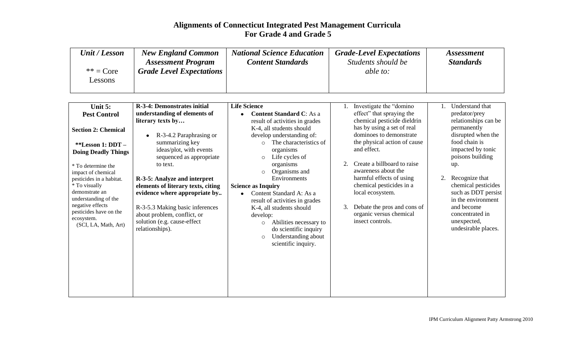| Unit / Lesson          | <b>New England Common</b>       | <b>National Science Education</b> | <b>Grade-Level Expectations</b> | <i>Assessment</i> |
|------------------------|---------------------------------|-----------------------------------|---------------------------------|-------------------|
|                        | <b>Assessment Program</b>       | <b>Content Standards</b>          | Students should be              | <b>Standards</b>  |
| $** = Core$<br>Lessons | <b>Grade Level Expectations</b> |                                   | able to:                        |                   |

| understanding of elements of<br>effect" that spraying the<br>predator/prey<br><b>Content Standard C:</b> As a<br><b>Pest Control</b>     |                      |
|------------------------------------------------------------------------------------------------------------------------------------------|----------------------|
|                                                                                                                                          |                      |
| chemical pesticide dieldrin<br>literary texts by<br>result of activities in grades                                                       | relationships can be |
| has by using a set of real<br>permanently<br>K-4, all students should<br><b>Section 2: Chemical</b>                                      |                      |
| dominoes to demonstrate<br>develop understanding of:<br>R-3-4.2 Paraphrasing or<br>٠                                                     | disrupted when the   |
| food chain is<br>the physical action of cause<br>The characteristics of<br>summarizing key<br>$\bigcirc$<br>**Lesson 1: DDT -            |                      |
| impacted by tonic<br>and effect.<br>ideas/plot, with events<br>organisms<br><b>Doing Deadly Things</b>                                   |                      |
| poisons building<br>sequenced as appropriate<br>Life cycles of<br>$\circ$                                                                |                      |
| Create a billboard to raise<br>organisms<br>to text.<br>up.<br>* To determine the                                                        |                      |
| awareness about the<br>Organisms and<br>impact of chemical                                                                               |                      |
| harmful effects of using<br>Recognize that<br>2.<br>Environments<br>R-3-5: Analyze and interpret<br>pesticides in a habitat.             |                      |
| chemical pesticides in a<br>* To visually<br>elements of literary texts, citing<br><b>Science as Inquiry</b>                             | chemical pesticides  |
| demonstrate an<br>local ecosystem.<br>evidence where appropriate by<br>Content Standard A: As a                                          | such as DDT persist  |
| understanding of the<br>result of activities in grades<br>negative effects                                                               | in the environment   |
| Debate the pros and cons of<br>and become<br>3.<br>R-3-5.3 Making basic inferences<br>K-4, all students should<br>pesticides have on the |                      |
| organic versus chemical<br>concentrated in<br>about problem, conflict, or<br>develop:<br>ecosystem.                                      |                      |
| insect controls.<br>solution (e.g. cause-effect<br>unexpected,<br>Abilities necessary to<br>$\circ$<br>(SCI, LA, Math, Art)              |                      |
| relationships).<br>do scientific inquiry                                                                                                 | undesirable places.  |
| Understanding about<br>$\circ$                                                                                                           |                      |
| scientific inquiry.                                                                                                                      |                      |
|                                                                                                                                          |                      |
|                                                                                                                                          |                      |
|                                                                                                                                          |                      |
|                                                                                                                                          |                      |
|                                                                                                                                          |                      |
|                                                                                                                                          |                      |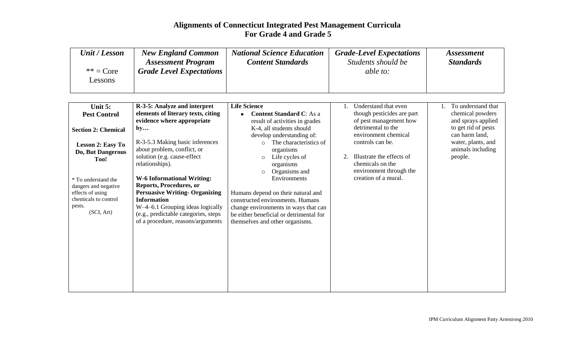| Unit / Lesson          | <b>New England Common</b>       | <b>National Science Education</b> | <b>Grade-Level Expectations</b> | <i>Assessment</i> |
|------------------------|---------------------------------|-----------------------------------|---------------------------------|-------------------|
|                        | <b>Assessment Program</b>       | <b>Content Standards</b>          | Students should be              | <b>Standards</b>  |
| $** = Core$<br>Lessons | <b>Grade Level Expectations</b> |                                   | able to:                        |                   |

| Unit 5:                    | R-3-5: Analyze and interpret          | <b>Life Science</b>                     | Understand that even       | To understand that  |
|----------------------------|---------------------------------------|-----------------------------------------|----------------------------|---------------------|
| <b>Pest Control</b>        | elements of literary texts, citing    | <b>Content Standard C:</b> As a         | though pesticides are part | chemical powders    |
|                            | evidence where appropriate            | result of activities in grades          | of pest management how     | and sprays applied  |
| <b>Section 2: Chemical</b> | by                                    | K-4, all students should                | detrimental to the         | to get rid of pests |
|                            |                                       | develop understanding of:               | environment chemical       | can harm land,      |
| <b>Lesson 2: Easy To</b>   | R-3-5.3 Making basic inferences       | The characteristics of<br>$\bigcap$     | controls can be.           | water, plants, and  |
| <b>Do, But Dangerous</b>   | about problem, conflict, or           | organisms                               |                            | animals including   |
| Too!                       | solution (e.g. cause-effect           | Life cycles of<br>$\circ$               | Illustrate the effects of  | people.             |
|                            | relationships).                       | organisms                               | chemicals on the           |                     |
|                            |                                       | Organisms and<br>$\circ$                | environment through the    |                     |
| * To understand the        | <b>W-6 Informational Writing:</b>     | Environments                            | creation of a mural.       |                     |
| dangers and negative       | Reports, Procedures, or               |                                         |                            |                     |
| effects of using           | <b>Persuasive Writing- Organizing</b> | Humans depend on their natural and      |                            |                     |
| chemicals to control       | <b>Information</b>                    | constructed environments. Humans        |                            |                     |
| pests.                     | W-4-6.1 Grouping ideas logically      | change environments in ways that can    |                            |                     |
| (SCI, Art)                 | (e.g., predictable categories, steps  | be either beneficial or detrimental for |                            |                     |
|                            | of a procedure, reasons/arguments     | themselves and other organisms.         |                            |                     |
|                            |                                       |                                         |                            |                     |
|                            |                                       |                                         |                            |                     |
|                            |                                       |                                         |                            |                     |
|                            |                                       |                                         |                            |                     |
|                            |                                       |                                         |                            |                     |
|                            |                                       |                                         |                            |                     |
|                            |                                       |                                         |                            |                     |
|                            |                                       |                                         |                            |                     |
|                            |                                       |                                         |                            |                     |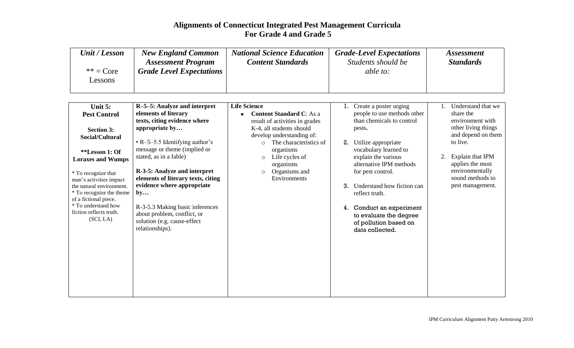| Unit / Lesson | <b>New England Common</b>       | <b>National Science Education</b> | <b>Grade-Level Expectations</b> | <i>Assessment</i> |
|---------------|---------------------------------|-----------------------------------|---------------------------------|-------------------|
|               | <b>Assessment Program</b>       | <b>Content Standards</b>          | Students should be              | <b>Standards</b>  |
| $** = Core$   | <b>Grade Level Expectations</b> |                                   | able to:                        |                   |
| Lessons       |                                 |                                   |                                 |                   |
|               |                                 |                                   |                                 |                   |

| Unit 5:                                             | R-5-5: Analyze and interpret         | <b>Life Science</b>                      | Create a poster urging           | Understand that we                  |
|-----------------------------------------------------|--------------------------------------|------------------------------------------|----------------------------------|-------------------------------------|
| <b>Pest Control</b>                                 | elements of literary                 | <b>Content Standard C:</b> As a          | people to use methods other      | share the                           |
|                                                     | texts, citing evidence where         | result of activities in grades           | than chemicals to control        | environment with                    |
| <b>Section 3:</b>                                   | appropriate by                       | K-4, all students should                 | pests.                           | other living things                 |
| Social/Cultural                                     |                                      | develop understanding of:                |                                  | and depend on them                  |
|                                                     | $\cdot$ R-5-5.5 Identifying author's | The characteristics of<br>$\circ$        | 2.<br>Utilize appropriate        | to live.                            |
| **Lesson 1: Of                                      | message or theme (implied or         | organisms                                | vocabulary learned to            |                                     |
| <b>Loraxes and Wumps</b>                            | stated, as in a fable)               | Life cycles of<br>$\circ$                | explain the various              | 2.<br>Explain that IPM              |
|                                                     | R-3-5: Analyze and interpret         | organisms                                | alternative IPM methods          | applies the most                    |
| * To recognize that                                 | elements of literary texts, citing   | Organisms and<br>$\circ$<br>Environments | for pest control.                | environmentally<br>sound methods to |
| man's activities impact<br>the natural environment. | evidence where appropriate           |                                          | 3.<br>Understand how fiction can | pest management.                    |
| * To recognize the theme                            | by                                   |                                          | reflect truth.                   |                                     |
| of a fictional piece.                               |                                      |                                          |                                  |                                     |
| * To understand how                                 | R-3-5.3 Making basic inferences      |                                          | Conduct an experiment<br>4.      |                                     |
| fiction reflects truth.                             | about problem, conflict, or          |                                          | to evaluate the degree           |                                     |
| (SCI, LA)                                           | solution (e.g. cause-effect          |                                          | of pollution based on            |                                     |
|                                                     | relationships).                      |                                          | data collected.                  |                                     |
|                                                     |                                      |                                          |                                  |                                     |
|                                                     |                                      |                                          |                                  |                                     |
|                                                     |                                      |                                          |                                  |                                     |
|                                                     |                                      |                                          |                                  |                                     |
|                                                     |                                      |                                          |                                  |                                     |
|                                                     |                                      |                                          |                                  |                                     |
|                                                     |                                      |                                          |                                  |                                     |
|                                                     |                                      |                                          |                                  |                                     |
|                                                     |                                      |                                          |                                  |                                     |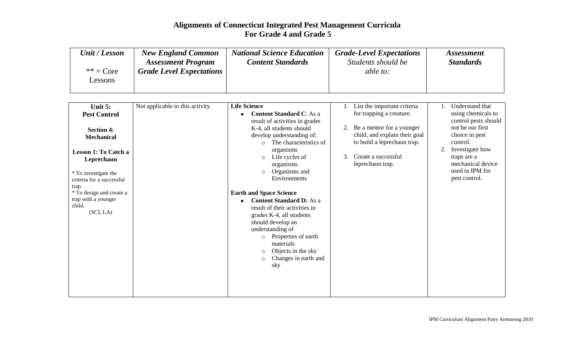| Unit / Lesson          | <b>New England Common</b><br><b>Assessment Program</b> | <b>National Science Education</b><br><b>Content Standards</b> | <b>Grade-Level Expectations</b><br>Students should be | <i>Assessment</i><br><b>Standards</b> |
|------------------------|--------------------------------------------------------|---------------------------------------------------------------|-------------------------------------------------------|---------------------------------------|
| $** = Core$<br>Lessons | <b>Grade Level Expectations</b>                        |                                                               | <i>able to:</i>                                       |                                       |
|                        |                                                        |                                                               |                                                       |                                       |

| Unit $5:$                                                                                                                                                                                                                             | Not applicable to this activity. | <b>Life Science</b>                                                                                                                                                                                                                                                                                                                     |          | List the important criteria                                                                                                                                      |    | Understand that                                                                                                                                                                         |
|---------------------------------------------------------------------------------------------------------------------------------------------------------------------------------------------------------------------------------------|----------------------------------|-----------------------------------------------------------------------------------------------------------------------------------------------------------------------------------------------------------------------------------------------------------------------------------------------------------------------------------------|----------|------------------------------------------------------------------------------------------------------------------------------------------------------------------|----|-----------------------------------------------------------------------------------------------------------------------------------------------------------------------------------------|
| <b>Pest Control</b><br><b>Section 4:</b><br><b>Mechanical</b><br><b>Lesson 1: To Catch a</b><br>Leprechaun<br>* To investigate the<br>criteria for a successful<br>trap.<br>* To design and create a<br>trap with a younger<br>child. |                                  | <b>Content Standard C:</b> As a<br>result of activities in grades<br>K-4, all students should<br>develop understanding of:<br>The characteristics of<br>$\circ$<br>organisms<br>Life cycles of<br>$\circ$<br>organisms<br>Organisms and<br>$\circ$<br>Environments<br><b>Earth and Space Science</b><br><b>Content Standard D:</b> As a | 2.<br>3. | for trapping a creature.<br>Be a mentor for a younger<br>child, and explain their goal<br>to build a leprechaun trap.<br>Create a successful<br>leprechaun trap. | 2. | using chemicals to<br>control pests should<br>not be our first<br>choice in pest<br>control.<br>Investigate how<br>traps are a<br>mechanical device<br>used in IPM for<br>pest control. |
| (SCI, LA)                                                                                                                                                                                                                             |                                  | result of their activities in<br>grades K-4, all students<br>should develop an<br>understanding of<br>Properties of earth<br>$\circ$<br>materials<br>Objects in the sky<br>$\circ$<br>Changes in earth and<br>$\circ$<br>sky                                                                                                            |          |                                                                                                                                                                  |    |                                                                                                                                                                                         |
|                                                                                                                                                                                                                                       |                                  |                                                                                                                                                                                                                                                                                                                                         |          |                                                                                                                                                                  |    |                                                                                                                                                                                         |